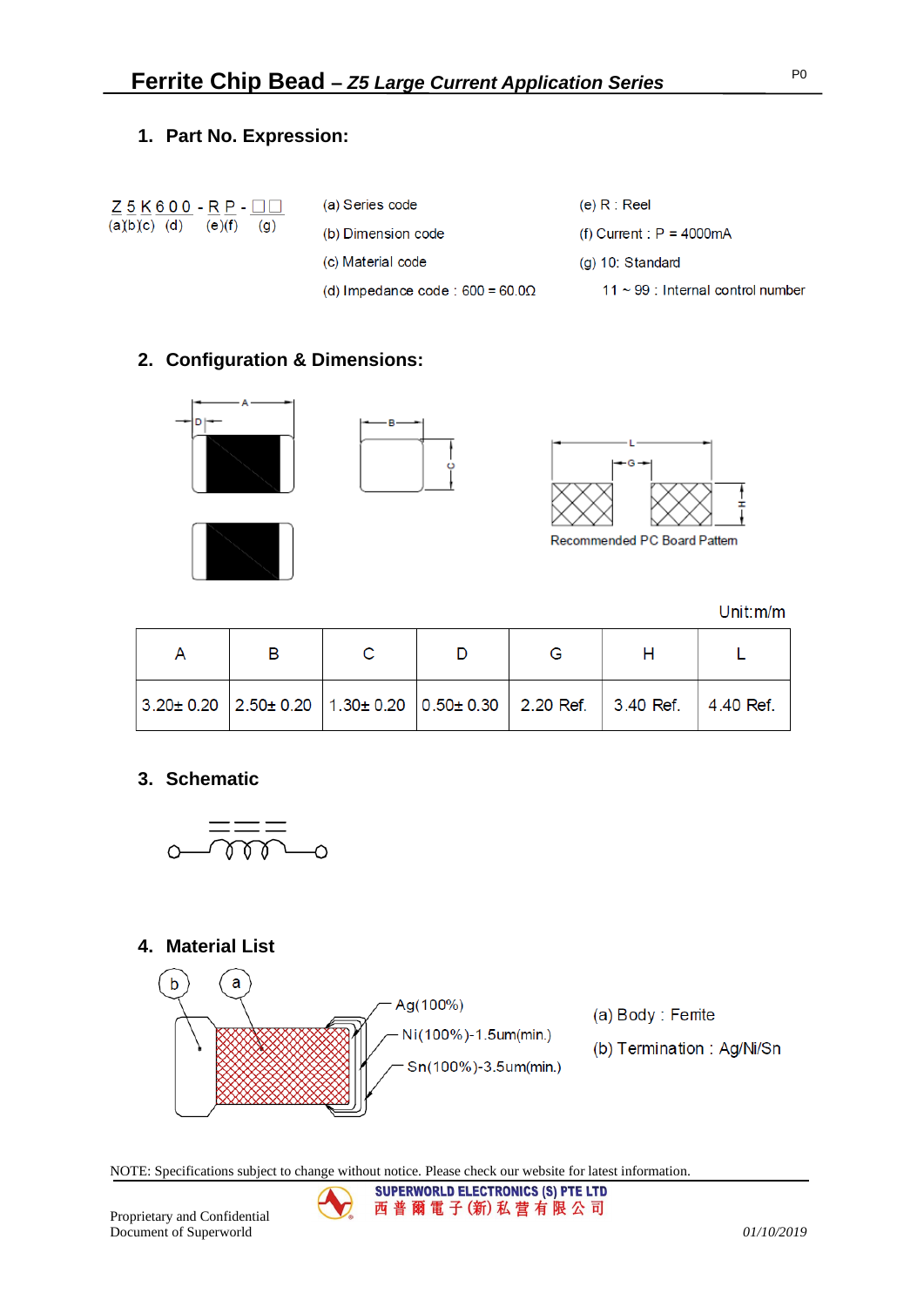## **1. Part No. Expression:**

|                 | $Z$ 5 $K$ 600 - RP - $\Box$ $\Box$ |  |
|-----------------|------------------------------------|--|
| $(a)'b)'c'$ (d) | $(e)(f)$ (g)                       |  |

| (a) Series code                         | (e) R : Reel                           |
|-----------------------------------------|----------------------------------------|
| (b) Dimension code                      | (f) Current : $P = 4000 \text{mA}$     |
| (c) Material code                       | $(q)$ 10: Standard                     |
| (d) Impedance code : $600 = 60.0\Omega$ | $11 \sim 99$ : Internal control number |

# **2. Configuration & Dimensions:**









Recommended PC Board Pattern

Unit:m/m

|  |  | $\vert$ 3.20± 0.20 $\vert$ 2.50± 0.20 $\vert$ 1.30± 0.20 $\vert$ 0.50± 0.30 $\vert$ 2.20 Ref. $\vert$ 3.40 Ref. $\vert$ 4.40 Ref. |  |
|--|--|-----------------------------------------------------------------------------------------------------------------------------------|--|

# **3. Schematic**



# **4. Material List**



**SUPERWORLD ELECTRONICS (S) PTE LTD** 

NOTE: Specifications subject to change without notice. Please check our website for latest information.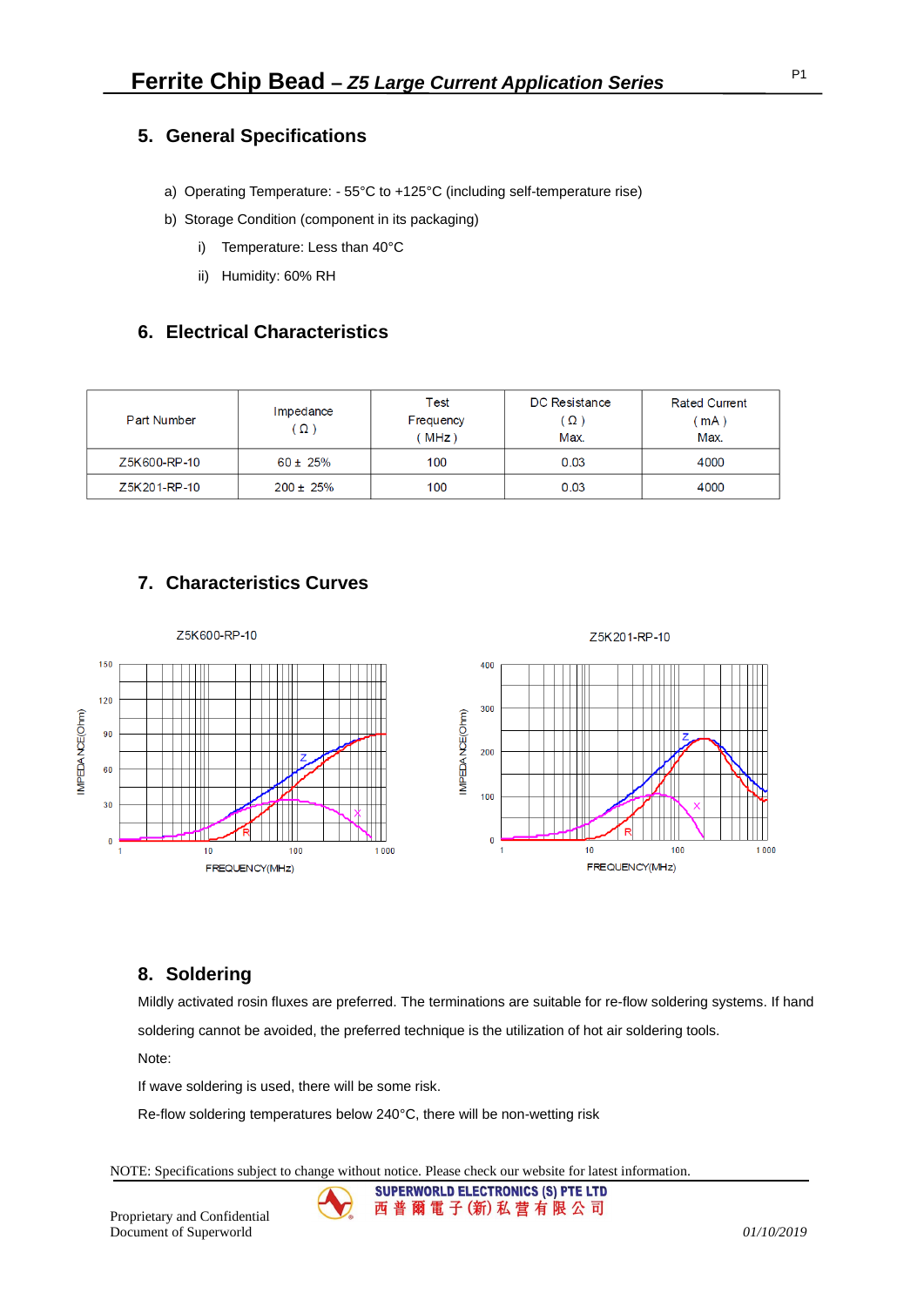### **5. General Specifications**

- a) Operating Temperature: 55°C to +125°C (including self-temperature rise)
- b) Storage Condition (component in its packaging)
	- i) Temperature: Less than 40°C
	- ii) Humidity: 60% RH

### **6. Electrical Characteristics**

| <b>Part Number</b> | Impedance<br>$\Omega$ | Test<br>Frequency<br>$MHz$ ) | DC Resistance<br>$(\Omega)$<br>Max. | <b>Rated Current</b><br>mA)<br>Max. |
|--------------------|-----------------------|------------------------------|-------------------------------------|-------------------------------------|
| Z5K600-RP-10       | $60 \pm 25\%$         | 100                          | 0.03                                | 4000                                |
| Z5K201-RP-10       | $200 \pm 25\%$        | 100                          | 0.03                                | 4000                                |

# **7. Characteristics Curves**



### **8. Soldering**

Mildly activated rosin fluxes are preferred. The terminations are suitable for re-flow soldering systems. If hand soldering cannot be avoided, the preferred technique is the utilization of hot air soldering tools.

Note:

If wave soldering is used, there will be some risk.

Re-flow soldering temperatures below 240°C, there will be non-wetting risk

NOTE: Specifications subject to change without notice. Please check our website for latest information.

**SUPERWORLD ELECTRONICS (S) PTE LTD** 西普爾電子(新)私营有限公司 Proprietary and Confidential Document of Superworld *01/10/2019*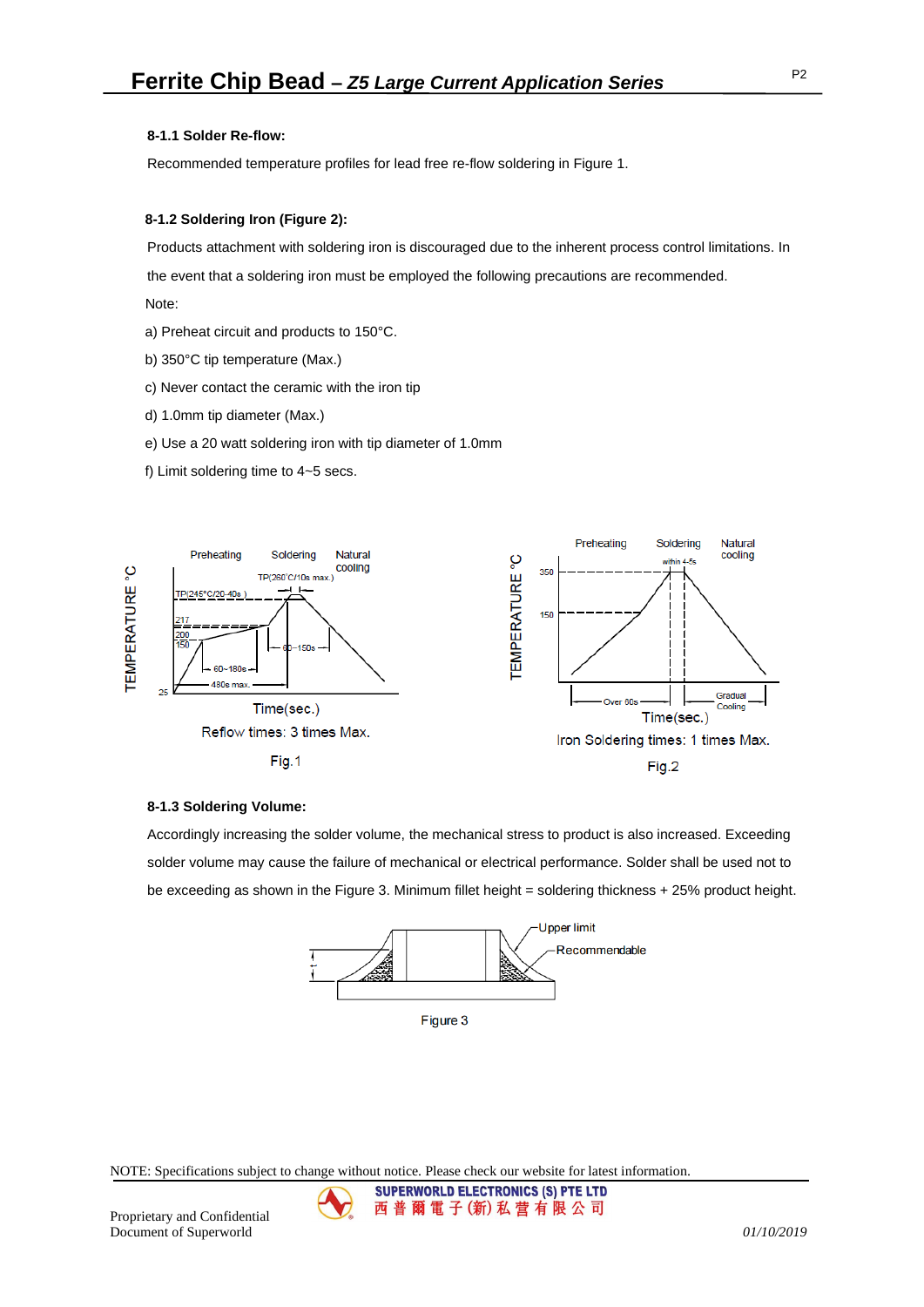#### **8-1.1 Solder Re-flow:**

Recommended temperature profiles for lead free re-flow soldering in Figure 1.

#### **8-1.2 Soldering Iron (Figure 2):**

Products attachment with soldering iron is discouraged due to the inherent process control limitations. In

the event that a soldering iron must be employed the following precautions are recommended. Note:

- a) Preheat circuit and products to 150°C.
- b) 350°C tip temperature (Max.)
- c) Never contact the ceramic with the iron tip
- d) 1.0mm tip diameter (Max.)
- e) Use a 20 watt soldering iron with tip diameter of 1.0mm
- f) Limit soldering time to 4~5 secs.



#### **8-1.3 Soldering Volume:**

Accordingly increasing the solder volume, the mechanical stress to product is also increased. Exceeding solder volume may cause the failure of mechanical or electrical performance. Solder shall be used not to be exceeding as shown in the Figure 3. Minimum fillet height = soldering thickness + 25% product height.



**SUPERWORLD ELECTRONICS (S) PTE LTD** 西普爾電子(新)私营有限公司

NOTE: Specifications subject to change without notice. Please check our website for latest information.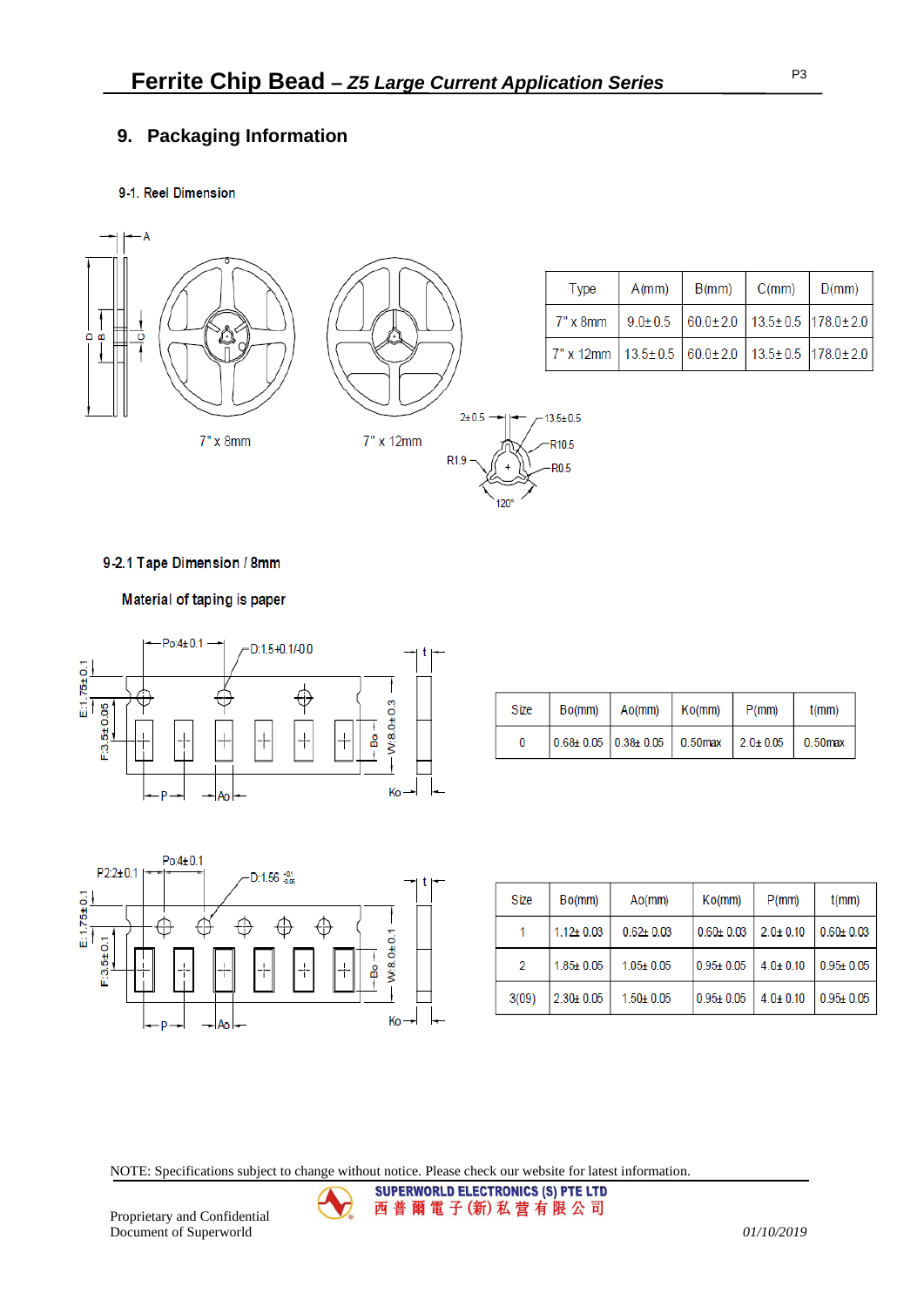# **9. Packaging Information**

### 9-1. Reel Dimension



| <b>Type</b>                                                | A(mm) | B(mm) | $\mid$ C(mm) | D(mm) |
|------------------------------------------------------------|-------|-------|--------------|-------|
| 7" x 8mm   9.0±0.5   60.0±2.0   13.5±0.5   178.0±2.0       |       |       |              |       |
| 7" x 12mm   13.5± 0.5   60.0± 2.0   13.5± 0.5   178.0± 2.0 |       |       |              |       |

### 9-2.1 Tape Dimension / 8mm

Material of taping is paper



| Size | Bo(mm) | Ao(mm)                                                                                       | Ko(mm) | $\mid$ P(mm) | $t$ (mm) |
|------|--------|----------------------------------------------------------------------------------------------|--------|--------------|----------|
| 0    |        | $\vert 0.68 \pm 0.05 \vert 0.38 \pm 0.05 \vert 0.50$ max $\vert 2.0 \pm 0.05 \vert 0.50$ max |        |              |          |



| Size  | Bo(mm)          | A <sub>O</sub> (mm) | Ko(mm)        | $P$ (mm)       | $t$ (mm)      |
|-------|-----------------|---------------------|---------------|----------------|---------------|
|       | $1.12 + 0.03$   | $0.62 + 0.03$       | $0.60 + 0.03$ | $2.0 + 0.10$   | $0.60 + 0.03$ |
| 2     | $1.85 \pm 0.05$ | $1.05 + 0.05$       | $0.95 + 0.05$ | $4.0 \pm 0.10$ | $0.95 + 0.05$ |
| 3(09) | $2.30 + 0.05$   | $1.50 + 0.05$       | $0.95 + 0.05$ | $4.0 \pm 0.10$ | $0.95 + 0.05$ |

NOTE: Specifications subject to change without notice. Please check our website for latest information.

Proprietary and Confidential Document of Superworld *01/10/2019*

SUPERWORLD ELECTRONICS (S) PTE LTD 西普爾電子(新)私营有限公司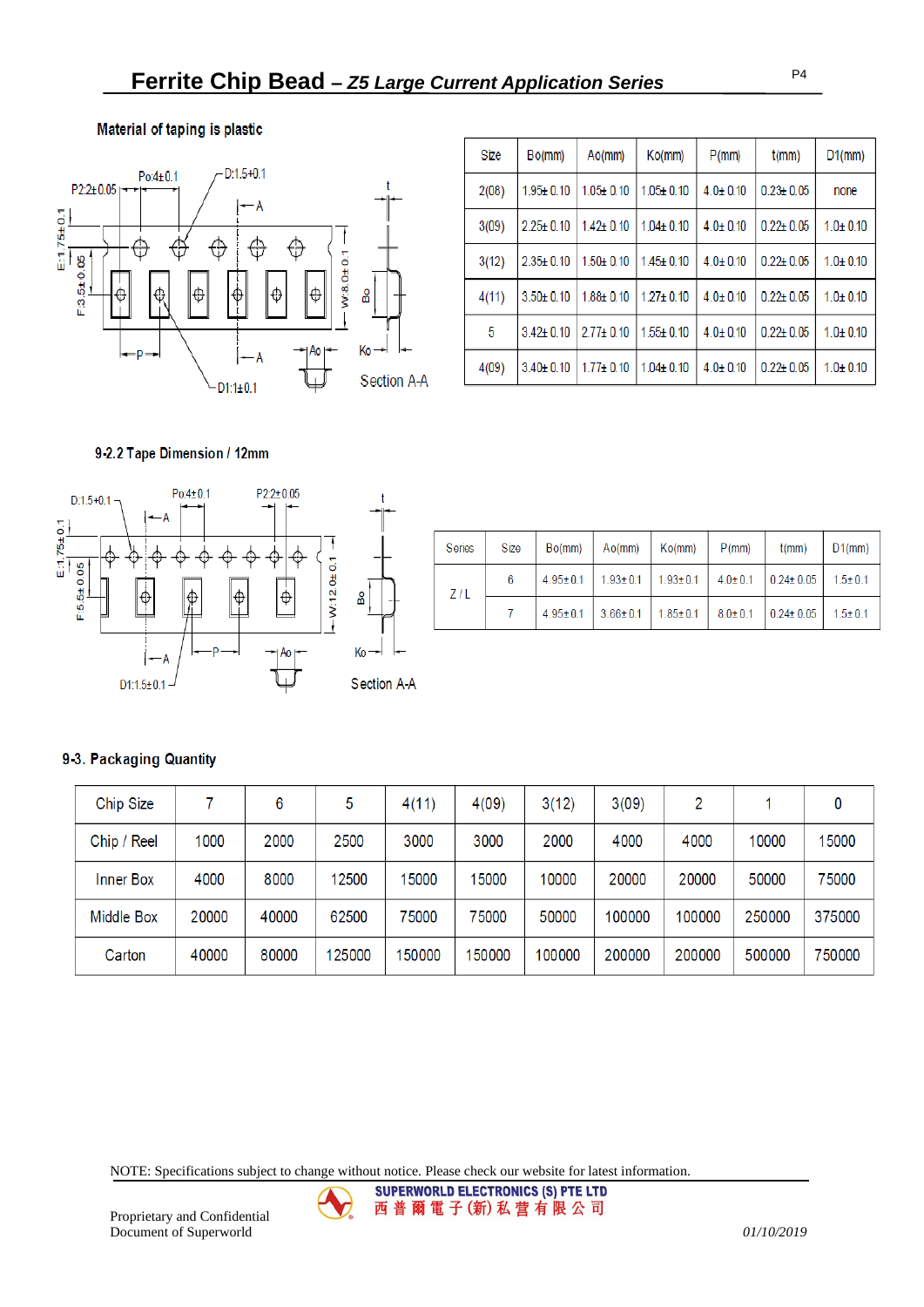

| Size  | Bo(mm)          | A <sub>O</sub> (mm) | K <sub>O</sub> (mm) | $P$ (mm)       | $t$ (mm)        | $D1$ (mm)    |
|-------|-----------------|---------------------|---------------------|----------------|-----------------|--------------|
| 2(08) | $1.95 \pm 0.10$ | $1.05 + 0.10$       | $1.05 \pm 0.10$     | $4.0 \pm 0.10$ | $0.23 \pm 0.05$ | none         |
| 3(09) | $2.25 \pm 0.10$ | $1.42 + 0.10$       | $1.04 \pm 0.10$     | $4.0 \pm 0.10$ | $0.22 \pm 0.05$ | $1.0 + 0.10$ |
| 3(12) | $2.35 \pm 0.10$ | $1.50 + 0.10$       | $1.45 + 0.10$       | $4.0 \pm 0.10$ | $0.22 \pm 0.05$ | $1.0 + 0.10$ |
| 4(11) | $3.50 + 0.10$   | $1.88 + 0.10$       | $1.27 \pm 0.10$     | $4.0 + 0.10$   | $0.22 + 0.05$   | $1.0 + 0.10$ |
| 5     | $3.42 \pm 0.10$ | $2.77 \pm 0.10$     | $1.55 + 0.10$       | $4.0 \pm 0.10$ | $0.22 + 0.05$   | $1.0 + 0.10$ |
| 4(09) | $3.40 \pm 0.10$ | $1.77 \pm 0.10$     | $1.04 \pm 0.10$     | $4.0 + 0.10$   | $0.22 \pm 0.05$ | $1.0 + 0.10$ |

### 9-2.2 Tape Dimension / 12mm

Material of taping is plastic



| Series | Size | Bo(mm)         | A <sub>O</sub> (mm) | Ko(mm)         | $P$ (mm)      | $t$ (mm)        | D1(mm)        |
|--------|------|----------------|---------------------|----------------|---------------|-----------------|---------------|
| Z/L    | 6    | $4.95 \pm 0.1$ | $1.93 \pm 0.1$      | $1.93 \pm 0.1$ | $4.0 \pm 0.1$ | $0.24 \pm 0.05$ | $1.5 \pm 0.1$ |
|        |      | $4.95 \pm 0.1$ | $3.66 \pm 0.1$      | $1.85 \pm 0.1$ | $8.0 \pm 0.1$ | $0.24 \pm 0.05$ | $1.5 \pm 0.1$ |

### 9-3. Packaging Quantity

| Chip Size         |       | 6     | 5      | 4(11) | 4(09)  | 3(12)  | 3(09)  | 2      |        |        |
|-------------------|-------|-------|--------|-------|--------|--------|--------|--------|--------|--------|
| Chip / Reel       | 1000  | 2000  | 2500   | 3000  | 3000   | 2000   | 4000   | 4000   | 10000  | 15000  |
| <b>Inner Box</b>  | 4000  | 8000  | 12500  | 15000 | 15000  | 10000  | 20000  | 20000  | 50000  | 75000  |
| <b>Middle Box</b> | 20000 | 40000 | 62500  | 75000 | 75000  | 50000  | 100000 | 100000 | 250000 | 375000 |
| Carton            | 40000 | 80000 | 125000 | 50000 | 150000 | 100000 | 200000 | 200000 | 500000 | 750000 |

**SUPERWORLD ELECTRONICS (S) PTE LTD** 西普爾電子(新)私营有限公司

NOTE: Specifications subject to change without notice. Please check our website for latest information.

 $\bm{\nabla}$